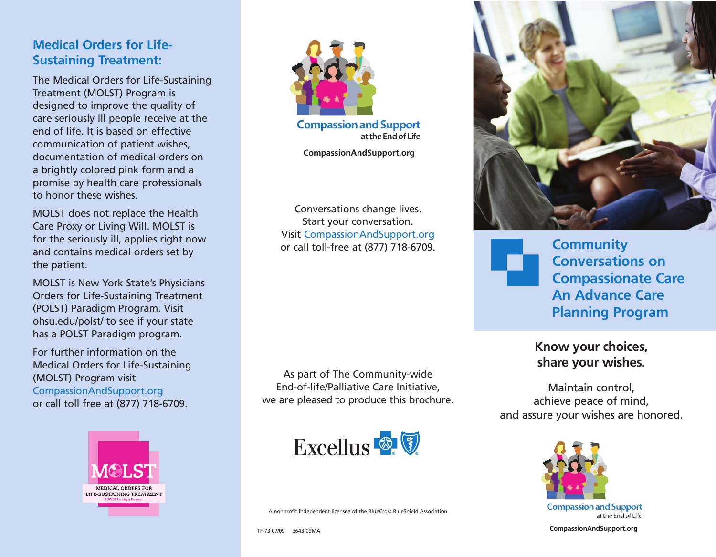# **Medical Orders for Life-Sustaining Treatment:**

The Medical Orders for Life-Sustaining Treatment (MOLST) Program is designed to improve the quality of care seriously ill people receive at the end of life. It is based on effective communication of patient wishes, documentation of medical orders on a brightly colored pink form and a promise by health care professionals to honor these wishes.

MOLST does not replace the Health Care Proxy or Living Will. MOLST is for the seriously ill, applies right now and contains medical orders set by the patient.

MOLST is New York State's Physicians Orders for Life-Sustaining Treatment (POLST) Paradigm Program. Visit ohsu.edu/polst/ to see if your state has a POLST Paradigm program.

For further information on the Medical Orders for Life-Sustaining (MOLST) Program visit CompassionAndSupport.org or call toll free at (877) 718-6709.





**Compassion and Support** at the End of Life

**CompassionAndSupport.org**

Conversations change lives. Start your conversation. Visit CompassionAndSupport.org or call toll-free at (877) 718-6709.

As part of The Community-wide End-of-life/Palliative Care Initiative, we are pleased to produce this brochure.



A nonprofit independent licensee of the BlueCross BlueShield Association



**Community Conversations on Compassionate Care An Advance Care Planning Program**

**Know your choices, share your wishes.**

Maintain control, achieve peace of mind, and assure your wishes are honored.



at the End of Life

**CompassionAndSupport.org**